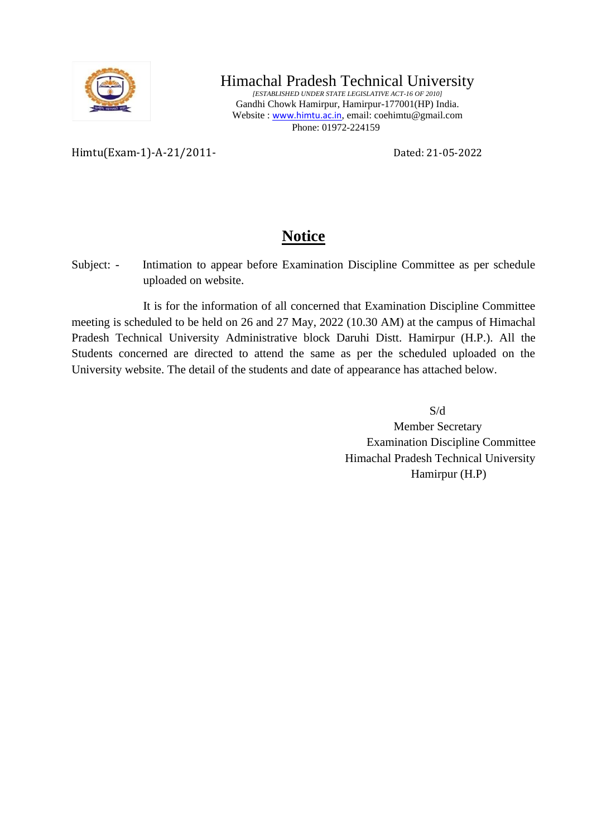

## Himachal Pradesh Technical University

*[ESTABLISHED UNDER STATE LEGISLATIVE ACT-16 OF 2010]* Gandhi Chowk Hamirpur, Hamirpur-177001(HP) India. Website : [www.himtu.ac.in](http://www.himtu.ac.in/), email: coehimtu@gmail.com Phone: 01972-224159

Himtu(Exam-1)-A-21/2011- Dated: 21-05-2022

## **Notice**

Subject: - Intimation to appear before Examination Discipline Committee as per schedule uploaded on website.

It is for the information of all concerned that Examination Discipline Committee meeting is scheduled to be held on 26 and 27 May, 2022 (10.30 AM) at the campus of Himachal Pradesh Technical University Administrative block Daruhi Distt. Hamirpur (H.P.). All the Students concerned are directed to attend the same as per the scheduled uploaded on the University website. The detail of the students and date of appearance has attached below.

> S/d Member Secretary Examination Discipline Committee Himachal Pradesh Technical University Hamirpur (H.P)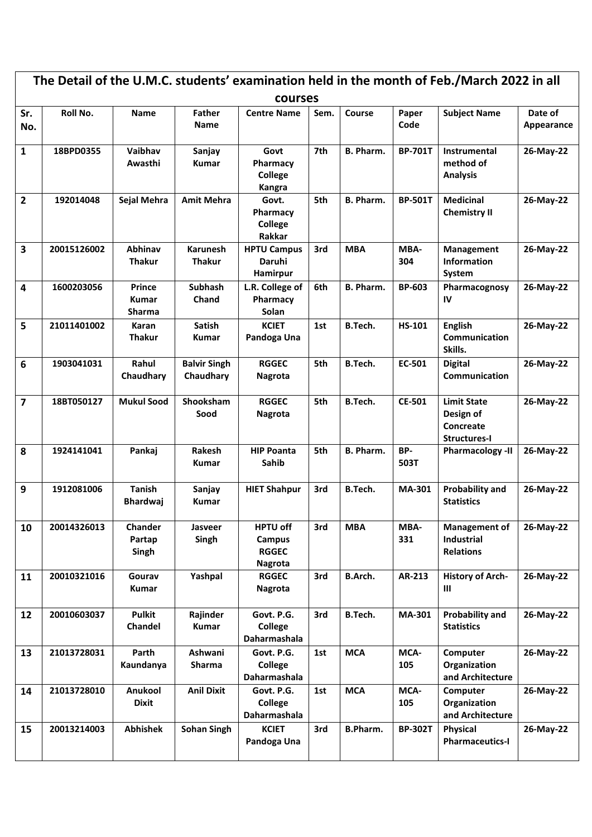| The Detail of the U.M.C. students' examination held in the month of Feb./March 2022 in all<br>courses |             |                                                |                                  |                                                      |      |                |                |                                                                     |                       |
|-------------------------------------------------------------------------------------------------------|-------------|------------------------------------------------|----------------------------------|------------------------------------------------------|------|----------------|----------------|---------------------------------------------------------------------|-----------------------|
| Sr.<br>No.                                                                                            | Roll No.    | <b>Name</b>                                    | <b>Father</b><br><b>Name</b>     | <b>Centre Name</b>                                   | Sem. | Course         | Paper<br>Code  | <b>Subject Name</b>                                                 | Date of<br>Appearance |
| $\mathbf{1}$                                                                                          | 18BPD0355   | Vaibhav<br>Awasthi                             | Sanjay<br><b>Kumar</b>           | Govt<br>Pharmacy<br>College<br><b>Kangra</b>         | 7th  | B. Pharm.      | <b>BP-701T</b> | Instrumental<br>method of<br><b>Analysis</b>                        | 26-May-22             |
| $\overline{2}$                                                                                        | 192014048   | Sejal Mehra                                    | <b>Amit Mehra</b>                | Govt.<br>Pharmacy<br>College<br>Rakkar               | 5th  | B. Pharm.      | <b>BP-501T</b> | <b>Medicinal</b><br><b>Chemistry II</b>                             | 26-May-22             |
| $\overline{\mathbf{3}}$                                                                               | 20015126002 | Abhinav<br><b>Thakur</b>                       | <b>Karunesh</b><br><b>Thakur</b> | <b>HPTU Campus</b><br>Daruhi<br>Hamirpur             | 3rd  | <b>MBA</b>     | MBA-<br>304    | Management<br>Information<br>System                                 | 26-May-22             |
| $\overline{\mathbf{4}}$                                                                               | 1600203056  | <b>Prince</b><br><b>Kumar</b><br><b>Sharma</b> | Subhash<br>Chand                 | L.R. College of<br>Pharmacy<br>Solan                 | 6th  | B. Pharm.      | <b>BP-603</b>  | Pharmacognosy<br>IV                                                 | 26-May-22             |
| 5                                                                                                     | 21011401002 | Karan<br><b>Thakur</b>                         | <b>Satish</b><br>Kumar           | <b>KCIET</b><br>Pandoga Una                          | 1st  | <b>B.Tech.</b> | <b>HS-101</b>  | <b>English</b><br><b>Communication</b><br>Skills.                   | 26-May-22             |
| 6                                                                                                     | 1903041031  | Rahul<br>Chaudhary                             | <b>Balvir Singh</b><br>Chaudhary | <b>RGGEC</b><br>Nagrota                              | 5th  | B.Tech.        | EC-501         | <b>Digital</b><br><b>Communication</b>                              | 26-May-22             |
| $\overline{7}$                                                                                        | 18BT050127  | <b>Mukul Sood</b>                              | Shooksham<br>Sood                | <b>RGGEC</b><br>Nagrota                              | 5th  | B.Tech.        | <b>CE-501</b>  | <b>Limit State</b><br>Design of<br>Concreate<br><b>Structures-I</b> | 26-May-22             |
| 8                                                                                                     | 1924141041  | Pankaj                                         | Rakesh<br>Kumar                  | <b>HIP Poanta</b><br>Sahib                           | 5th  | B. Pharm.      | BP-<br>503T    | <b>Pharmacology -II</b>                                             | 26-May-22             |
| 9                                                                                                     | 1912081006  | <b>Tanish</b><br><b>Bhardwaj</b>               | Sanjay<br><b>Kumar</b>           | <b>HIET Shahpur</b>                                  | 3rd  | <b>B.Tech.</b> | <b>MA-301</b>  | <b>Probability and</b><br><b>Statistics</b>                         | 26-May-22             |
| 10                                                                                                    | 20014326013 | Chander<br>Partap<br>Singh                     | Jasveer<br>Singh                 | <b>HPTU off</b><br>Campus<br><b>RGGEC</b><br>Nagrota | 3rd  | <b>MBA</b>     | MBA-<br>331    | <b>Management of</b><br>Industrial<br><b>Relations</b>              | 26-May-22             |
| 11                                                                                                    | 20010321016 | Gourav<br>Kumar                                | Yashpal                          | <b>RGGEC</b><br>Nagrota                              | 3rd  | <b>B.Arch.</b> | AR-213         | <b>History of Arch-</b><br>Ш                                        | 26-May-22             |
| 12                                                                                                    | 20010603037 | <b>Pulkit</b><br>Chandel                       | Rajinder<br><b>Kumar</b>         | Govt. P.G.<br>College<br>Daharmashala                | 3rd  | <b>B.Tech.</b> | <b>MA-301</b>  | <b>Probability and</b><br><b>Statistics</b>                         | 26-May-22             |
| 13                                                                                                    | 21013728031 | Parth<br>Kaundanya                             | Ashwani<br>Sharma                | Govt. P.G.<br>College<br>Daharmashala                | 1st  | <b>MCA</b>     | MCA-<br>105    | Computer<br>Organization<br>and Architecture                        | 26-May-22             |
| 14                                                                                                    | 21013728010 | Anukool<br><b>Dixit</b>                        | <b>Anil Dixit</b>                | Govt. P.G.<br>College<br>Daharmashala                | 1st  | <b>MCA</b>     | MCA-<br>105    | Computer<br>Organization<br>and Architecture                        | 26-May-22             |
| 15                                                                                                    | 20013214003 | <b>Abhishek</b>                                | <b>Sohan Singh</b>               | <b>KCIET</b><br>Pandoga Una                          | 3rd  | B.Pharm.       | <b>BP-302T</b> | Physical<br><b>Pharmaceutics-I</b>                                  | 26-May-22             |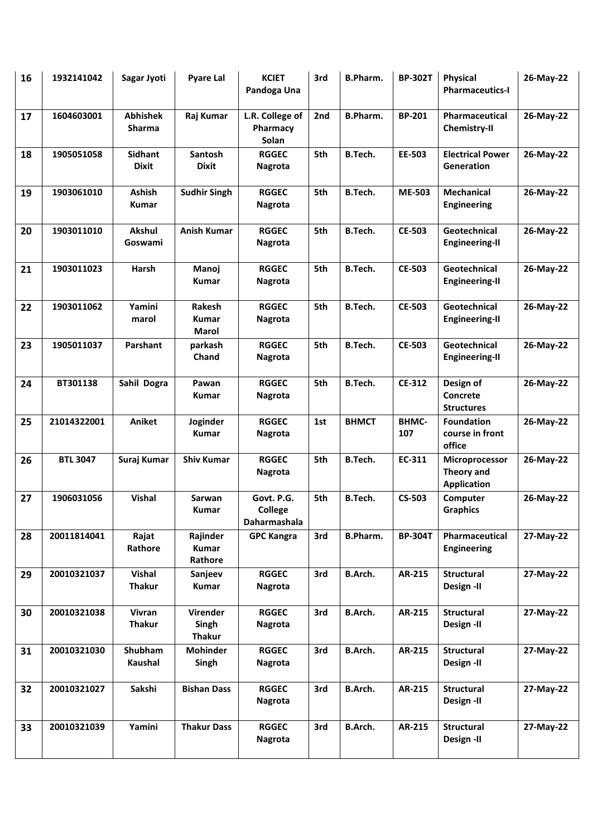| 16 | 1932141042      | Sagar Jyoti                      | <b>Pyare Lal</b>                   | <b>KCIET</b><br>Pandoga Una           | 3rd | <b>B.Pharm.</b> | <b>BP-302T</b>      | Physical<br><b>Pharmaceutics-I</b>                 | 26-May-22 |
|----|-----------------|----------------------------------|------------------------------------|---------------------------------------|-----|-----------------|---------------------|----------------------------------------------------|-----------|
| 17 | 1604603001      | <b>Abhishek</b><br><b>Sharma</b> | Raj Kumar                          | L.R. College of<br>Pharmacy<br>Solan  | 2nd | <b>B.Pharm.</b> | <b>BP-201</b>       | Pharmaceutical<br><b>Chemistry-II</b>              | 26-May-22 |
| 18 | 1905051058      | <b>Sidhant</b><br><b>Dixit</b>   | <b>Santosh</b><br>Dixit            | <b>RGGEC</b><br><b>Nagrota</b>        | 5th | B.Tech.         | EE-503              | <b>Electrical Power</b><br>Generation              | 26-May-22 |
| 19 | 1903061010      | Ashish<br><b>Kumar</b>           | <b>Sudhir Singh</b>                | <b>RGGEC</b><br>Nagrota               | 5th | B.Tech.         | <b>ME-503</b>       | <b>Mechanical</b><br><b>Engineering</b>            | 26-May-22 |
| 20 | 1903011010      | Akshul<br>Goswami                | <b>Anish Kumar</b>                 | <b>RGGEC</b><br><b>Nagrota</b>        | 5th | <b>B.Tech.</b>  | <b>CE-503</b>       | Geotechnical<br><b>Engineering-II</b>              | 26-May-22 |
| 21 | 1903011023      | <b>Harsh</b>                     | Manoj<br>Kumar                     | <b>RGGEC</b><br><b>Nagrota</b>        | 5th | B.Tech.         | <b>CE-503</b>       | Geotechnical<br><b>Engineering-II</b>              | 26-May-22 |
| 22 | 1903011062      | Yamini<br>marol                  | Rakesh<br><b>Kumar</b><br>Marol    | <b>RGGEC</b><br><b>Nagrota</b>        | 5th | B.Tech.         | <b>CE-503</b>       | Geotechnical<br><b>Engineering-II</b>              | 26-May-22 |
| 23 | 1905011037      | Parshant                         | parkash<br>Chand                   | <b>RGGEC</b><br><b>Nagrota</b>        | 5th | B.Tech.         | <b>CE-503</b>       | Geotechnical<br><b>Engineering-II</b>              | 26-May-22 |
| 24 | BT301138        | Sahil Dogra                      | Pawan<br><b>Kumar</b>              | <b>RGGEC</b><br><b>Nagrota</b>        | 5th | B.Tech.         | <b>CE-312</b>       | Design of<br>Concrete<br><b>Structures</b>         | 26-May-22 |
| 25 | 21014322001     | <b>Aniket</b>                    | Joginder<br>Kumar                  | <b>RGGEC</b><br><b>Nagrota</b>        | 1st | <b>BHMCT</b>    | <b>BHMC-</b><br>107 | <b>Foundation</b><br>course in front<br>office     | 26-May-22 |
| 26 | <b>BTL 3047</b> | Suraj Kumar                      | <b>Shiv Kumar</b>                  | <b>RGGEC</b><br><b>Nagrota</b>        | 5th | B.Tech.         | EC-311              | Microprocessor<br>Theory and<br><b>Application</b> | 26-May-22 |
| 27 | 1906031056      | <b>Vishal</b>                    | Sarwan<br>Kumar                    | Govt. P.G.<br>College<br>Daharmashala | 5th | B.Tech.         | <b>CS-503</b>       | Computer<br><b>Graphics</b>                        | 26-May-22 |
| 28 | 20011814041     | Rajat<br>Rathore                 | Rajinder<br>Kumar<br>Rathore       | <b>GPC Kangra</b>                     | 3rd | <b>B.Pharm.</b> | <b>BP-304T</b>      | Pharmaceutical<br><b>Engineering</b>               | 27-May-22 |
| 29 | 20010321037     | <b>Vishal</b><br><b>Thakur</b>   | Sanjeev<br><b>Kumar</b>            | <b>RGGEC</b><br>Nagrota               | 3rd | B.Arch.         | AR-215              | Structural<br>Design -II                           | 27-May-22 |
| 30 | 20010321038     | Vivran<br><b>Thakur</b>          | Virender<br>Singh<br><b>Thakur</b> | <b>RGGEC</b><br><b>Nagrota</b>        | 3rd | <b>B.Arch.</b>  | AR-215              | Structural<br>Design -II                           | 27-May-22 |
| 31 | 20010321030     | Shubham<br>Kaushal               | <b>Mohinder</b><br>Singh           | <b>RGGEC</b><br>Nagrota               | 3rd | <b>B.Arch.</b>  | AR-215              | Structural<br>Design -II                           | 27-May-22 |
| 32 | 20010321027     | Sakshi                           | <b>Bishan Dass</b>                 | <b>RGGEC</b><br><b>Nagrota</b>        | 3rd | B.Arch.         | AR-215              | Structural<br>Design -II                           | 27-May-22 |
| 33 | 20010321039     | Yamini                           | <b>Thakur Dass</b>                 | <b>RGGEC</b><br><b>Nagrota</b>        | 3rd | <b>B.Arch.</b>  | AR-215              | <b>Structural</b><br>Design -II                    | 27-May-22 |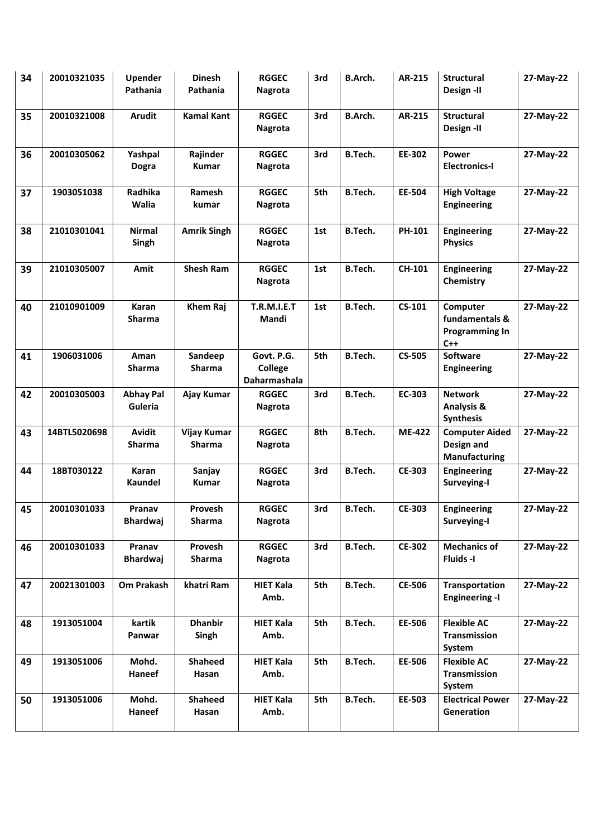| 34 | 20010321035  | <b>Upender</b><br>Pathania  | <b>Dinesh</b><br>Pathania | <b>RGGEC</b><br>Nagrota               | 3rd | B.Arch.        | AR-215        | <b>Structural</b><br>Design -II                              | 27-May-22 |
|----|--------------|-----------------------------|---------------------------|---------------------------------------|-----|----------------|---------------|--------------------------------------------------------------|-----------|
| 35 | 20010321008  | <b>Arudit</b>               | <b>Kamal Kant</b>         | <b>RGGEC</b><br>Nagrota               | 3rd | <b>B.Arch.</b> | AR-215        | <b>Structural</b><br>Design -II                              | 27-May-22 |
| 36 | 20010305062  | Yashpal<br><b>Dogra</b>     | Rajinder<br><b>Kumar</b>  | <b>RGGEC</b><br><b>Nagrota</b>        | 3rd | B.Tech.        | EE-302        | <b>Power</b><br><b>Electronics-I</b>                         | 27-May-22 |
| 37 | 1903051038   | Radhika<br>Walia            | Ramesh<br>kumar           | <b>RGGEC</b><br><b>Nagrota</b>        | 5th | B.Tech.        | <b>EE-504</b> | <b>High Voltage</b><br><b>Engineering</b>                    | 27-May-22 |
| 38 | 21010301041  | <b>Nirmal</b><br>Singh      | <b>Amrik Singh</b>        | <b>RGGEC</b><br><b>Nagrota</b>        | 1st | B.Tech.        | PH-101        | <b>Engineering</b><br><b>Physics</b>                         | 27-May-22 |
| 39 | 21010305007  | Amit                        | <b>Shesh Ram</b>          | <b>RGGEC</b><br>Nagrota               | 1st | B.Tech.        | CH-101        | <b>Engineering</b><br>Chemistry                              | 27-May-22 |
| 40 | 21010901009  | Karan<br>Sharma             | Khem Raj                  | <b>T.R.M.I.E.T</b><br>Mandi           | 1st | B.Tech.        | CS-101        | Computer<br>fundamentals &<br><b>Programming In</b><br>$C++$ | 27-May-22 |
| 41 | 1906031006   | Aman<br>Sharma              | Sandeep<br><b>Sharma</b>  | Govt. P.G.<br>College<br>Daharmashala | 5th | B.Tech.        | <b>CS-505</b> | <b>Software</b><br><b>Engineering</b>                        | 27-May-22 |
| 42 | 20010305003  | <b>Abhay Pal</b><br>Guleria | Ajay Kumar                | <b>RGGEC</b><br>Nagrota               | 3rd | <b>B.Tech.</b> | EC-303        | <b>Network</b><br><b>Analysis &amp;</b><br><b>Synthesis</b>  | 27-May-22 |
| 43 | 14BTL5020698 | Avidit<br><b>Sharma</b>     | Vijay Kumar<br>Sharma     | <b>RGGEC</b><br><b>Nagrota</b>        | 8th | B.Tech.        | <b>ME-422</b> | <b>Computer Aided</b><br>Design and<br><b>Manufacturing</b>  | 27-May-22 |
| 44 | 18BT030122   | <b>Karan</b><br>Kaundel     | Sanjay<br>Kumar           | <b>RGGEC</b><br><b>Nagrota</b>        | 3rd | <b>B.Tech.</b> | <b>CE-303</b> | <b>Engineering</b><br>Surveying-I                            | 27-May-22 |
| 45 | 20010301033  | Pranav<br><b>Bhardwaj</b>   | Provesh<br>Sharma         | <b>RGGEC</b><br>Nagrota               | 3rd | <b>B.Tech.</b> | <b>CE-303</b> | <b>Engineering</b><br>Surveying-I                            | 27-May-22 |
| 46 | 20010301033  | Pranav<br><b>Bhardwaj</b>   | Provesh<br>Sharma         | <b>RGGEC</b><br><b>Nagrota</b>        | 3rd | B.Tech.        | <b>CE-302</b> | <b>Mechanics of</b><br>Fluids-I                              | 27-May-22 |
| 47 | 20021301003  | Om Prakash                  | khatri Ram                | <b>HIET Kala</b><br>Amb.              | 5th | B.Tech.        | <b>CE-506</b> | Transportation<br><b>Engineering -I</b>                      | 27-May-22 |
| 48 | 1913051004   | kartik<br>Panwar            | <b>Dhanbir</b><br>Singh   | <b>HIET Kala</b><br>Amb.              | 5th | <b>B.Tech.</b> | EE-506        | <b>Flexible AC</b><br>Transmission<br>System                 | 27-May-22 |
| 49 | 1913051006   | Mohd.<br>Haneef             | <b>Shaheed</b><br>Hasan   | <b>HIET Kala</b><br>Amb.              | 5th | B.Tech.        | EE-506        | <b>Flexible AC</b><br>Transmission<br>System                 | 27-May-22 |
| 50 | 1913051006   | Mohd.<br>Haneef             | <b>Shaheed</b><br>Hasan   | <b>HIET Kala</b><br>Amb.              | 5th | B.Tech.        | EE-503        | <b>Electrical Power</b><br>Generation                        | 27-May-22 |